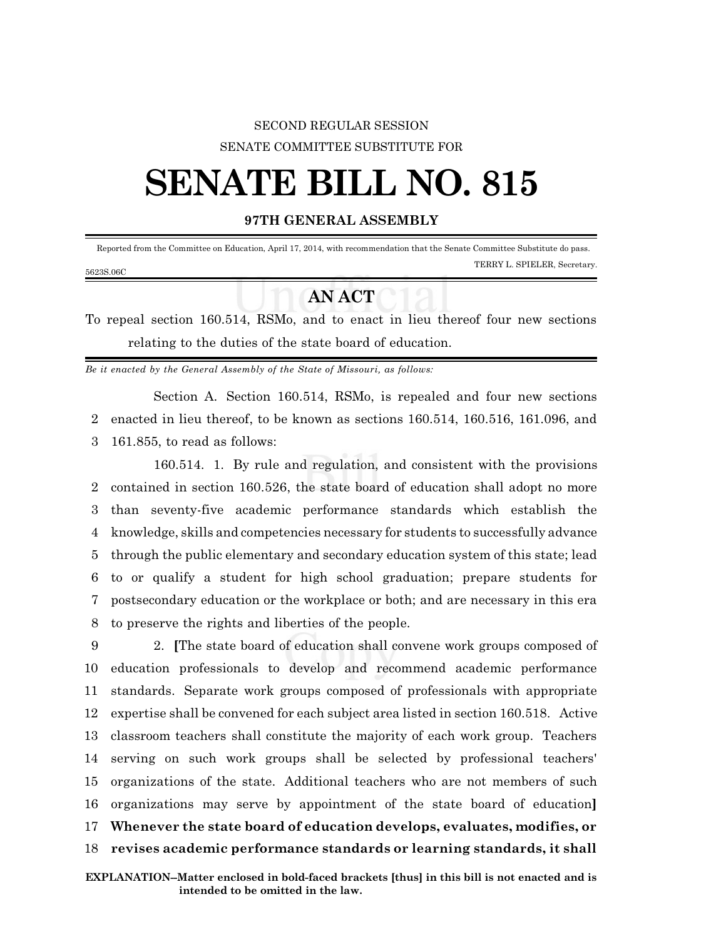## SECOND REGULAR SESSION SENATE COMMITTEE SUBSTITUTE FOR

## **SENATE BILL NO. 815**

## **97TH GENERAL ASSEMBLY**

 Reported from the Committee on Education, April 17, 2014, with recommendation that the Senate Committee Substitute do pass. TERRY L. SPIELER, Secretary. 5623S.06C

## **AN ACT**

To repeal section 160.514, RSMo, and to enact in lieu thereof four new sections relating to the duties of the state board of education.

*Be it enacted by the General Assembly of the State of Missouri, as follows:*

Section A. Section 160.514, RSMo, is repealed and four new sections 2 enacted in lieu thereof, to be known as sections 160.514, 160.516, 161.096, and 3 161.855, to read as follows:

160.514. 1. By rule and regulation, and consistent with the provisions contained in section 160.526, the state board of education shall adopt no more than seventy-five academic performance standards which establish the knowledge, skills and competencies necessary for students to successfully advance through the public elementary and secondary education system of this state; lead to or qualify a student for high school graduation; prepare students for postsecondary education or the workplace or both; and are necessary in this era to preserve the rights and liberties of the people.

 2. **[**The state board of education shall convene work groups composed of education professionals to develop and recommend academic performance standards. Separate work groups composed of professionals with appropriate expertise shall be convened for each subject area listed in section 160.518. Active classroom teachers shall constitute the majority of each work group. Teachers serving on such work groups shall be selected by professional teachers' organizations of the state. Additional teachers who are not members of such organizations may serve by appointment of the state board of education**] Whenever the state board of education develops, evaluates, modifies, or revises academic performance standards or learning standards, it shall**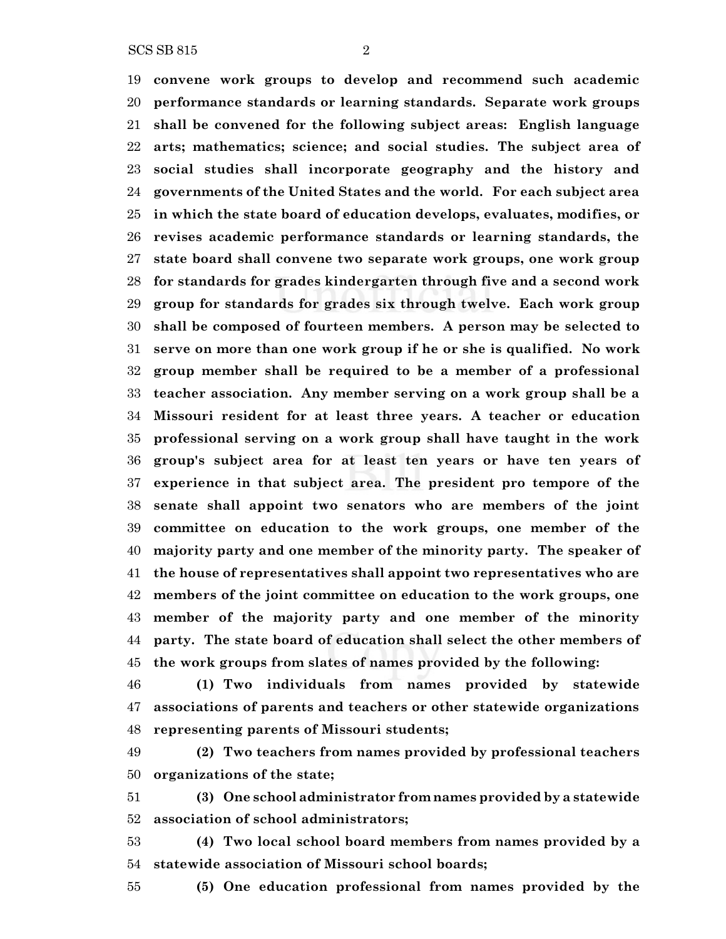SCS SB 815 2

 **convene work groups to develop and recommend such academic performance standards or learning standards. Separate work groups shall be convened for the following subject areas: English language arts; mathematics; science; and social studies. The subject area of social studies shall incorporate geography and the history and governments of the United States and the world. For each subject area in which the state board of education develops, evaluates, modifies, or revises academic performance standards or learning standards, the state board shall convene two separate work groups, one work group for standards for grades kindergarten through five and a second work group for standards for grades six through twelve. Each work group shall be composed of fourteen members. A person may be selected to serve on more than one work group if he or she is qualified. No work group member shall be required to be a member of a professional teacher association. Any member serving on a work group shall be a Missouri resident for at least three years. A teacher or education professional serving on a work group shall have taught in the work group's subject area for at least ten years or have ten years of experience in that subject area. The president pro tempore of the senate shall appoint two senators who are members of the joint committee on education to the work groups, one member of the majority party and one member of the minority party. The speaker of the house of representatives shall appoint two representatives who are members of the joint committee on education to the work groups, one member of the majority party and one member of the minority party. The state board of education shall select the other members of the work groups from slates of names provided by the following:**

 **(1) Two individuals from names provided by statewide associations of parents and teachers or other statewide organizations representing parents of Missouri students;**

 **(2) Two teachers from names provided by professional teachers organizations of the state;**

 **(3) One school administrator from names provided by a statewide association of school administrators;**

 **(4) Two local school board members from names provided by a statewide association of Missouri school boards;**

**(5) One education professional from names provided by the**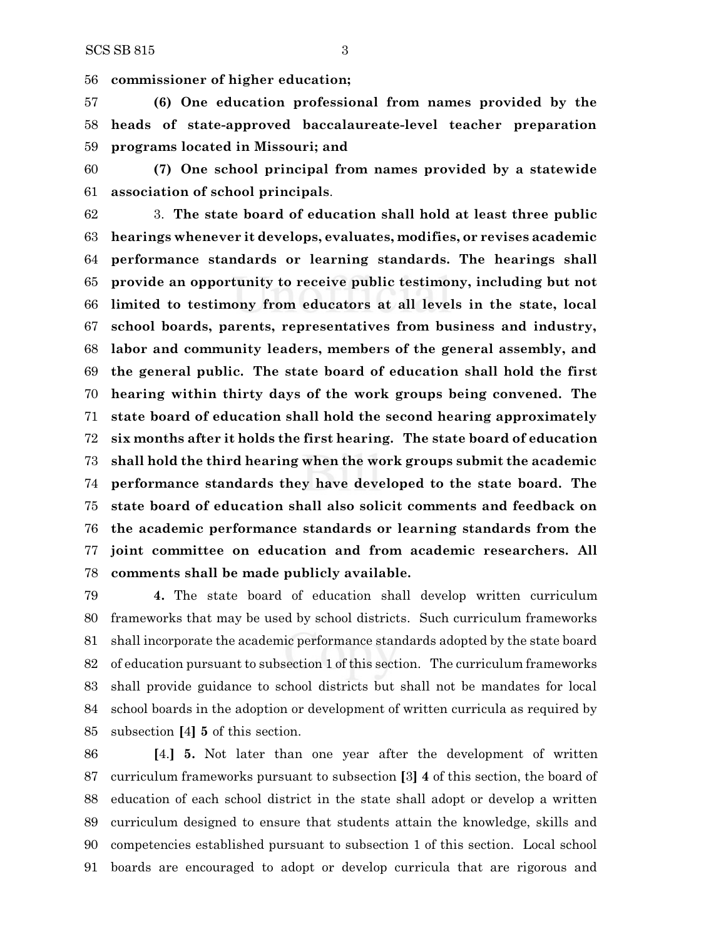**commissioner of higher education;**

 **(6) One education professional from names provided by the heads of state-approved baccalaureate-level teacher preparation programs located in Missouri; and**

 **(7) One school principal from names provided by a statewide association of school principals**.

 3. **The state board of education shall hold at least three public hearings whenever it develops, evaluates, modifies, or revises academic performance standards or learning standards. The hearings shall provide an opportunity to receive public testimony, including but not limited to testimony from educators at all levels in the state, local school boards, parents, representatives from business and industry, labor and community leaders, members of the general assembly, and the general public. The state board of education shall hold the first hearing within thirty days of the work groups being convened. The state board of education shall hold the second hearing approximately six months after it holds the first hearing. The state board of education shall hold the third hearing when the work groups submit the academic performance standards they have developed to the state board. The state board of education shall also solicit comments and feedback on the academic performance standards or learning standards from the joint committee on education and from academic researchers. All comments shall be made publicly available.**

 **4.** The state board of education shall develop written curriculum frameworks that may be used by school districts. Such curriculum frameworks shall incorporate the academic performance standards adopted by the state board of education pursuant to subsection 1 of this section. The curriculum frameworks shall provide guidance to school districts but shall not be mandates for local school boards in the adoption or development of written curricula as required by subsection **[**4**] 5** of this section.

 **[**4.**] 5.** Not later than one year after the development of written curriculum frameworks pursuant to subsection **[**3**] 4** of this section, the board of education of each school district in the state shall adopt or develop a written curriculum designed to ensure that students attain the knowledge, skills and competencies established pursuant to subsection 1 of this section. Local school boards are encouraged to adopt or develop curricula that are rigorous and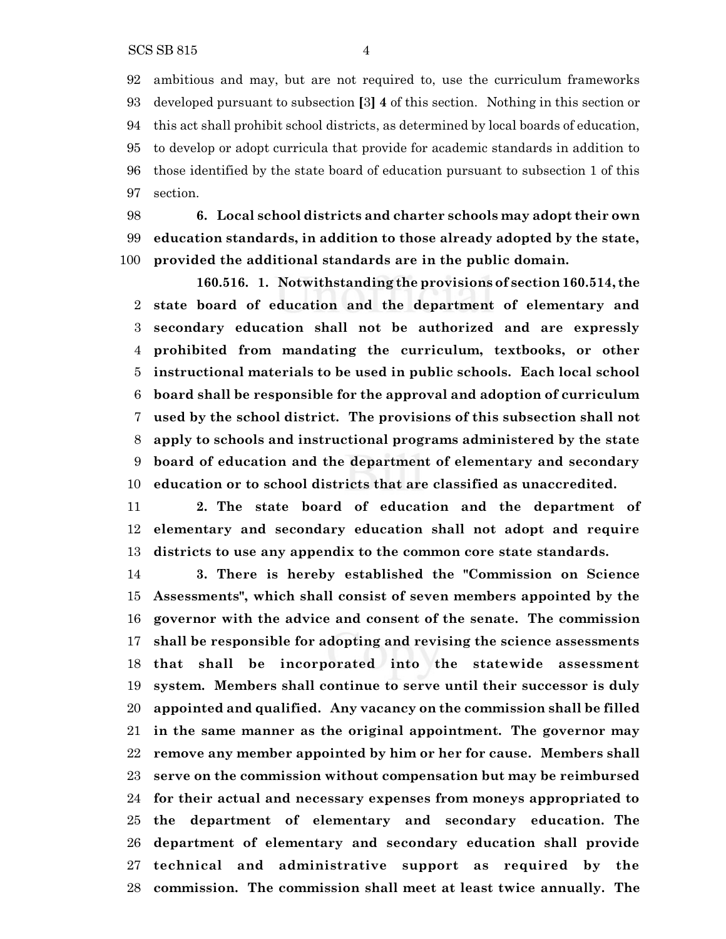ambitious and may, but are not required to, use the curriculum frameworks developed pursuant to subsection **[**3**] 4** of this section. Nothing in this section or this act shall prohibit school districts, as determined by local boards of education, to develop or adopt curricula that provide for academic standards in addition to those identified by the state board of education pursuant to subsection 1 of this section.

 **6. Local school districts and charter schools may adopt their own education standards, in addition to those already adopted by the state, provided the additional standards are in the public domain.**

**160.516. 1. Notwithstanding the provisions of section 160.514, the state board of education and the department of elementary and secondary education shall not be authorized and are expressly prohibited from mandating the curriculum, textbooks, or other instructional materials to be used in public schools. Each local school board shall be responsible for the approval and adoption of curriculum used by the school district. The provisions of this subsection shall not apply to schools and instructional programs administered by the state board of education and the department of elementary and secondary education or to school districts that are classified as unaccredited.**

 **2. The state board of education and the department of elementary and secondary education shall not adopt and require districts to use any appendix to the common core state standards.**

 **3. There is hereby established the "Commission on Science Assessments", which shall consist of seven members appointed by the governor with the advice and consent of the senate. The commission shall be responsible for adopting and revising the science assessments that shall be incorporated into the statewide assessment system. Members shall continue to serve until their successor is duly appointed and qualified. Any vacancy on the commission shall be filled in the same manner as the original appointment. The governor may remove any member appointed by him or her for cause. Members shall serve on the commission without compensation but may be reimbursed for their actual and necessary expenses from moneys appropriated to the department of elementary and secondary education. The department of elementary and secondary education shall provide technical and administrative support as required by the commission. The commission shall meet at least twice annually. The**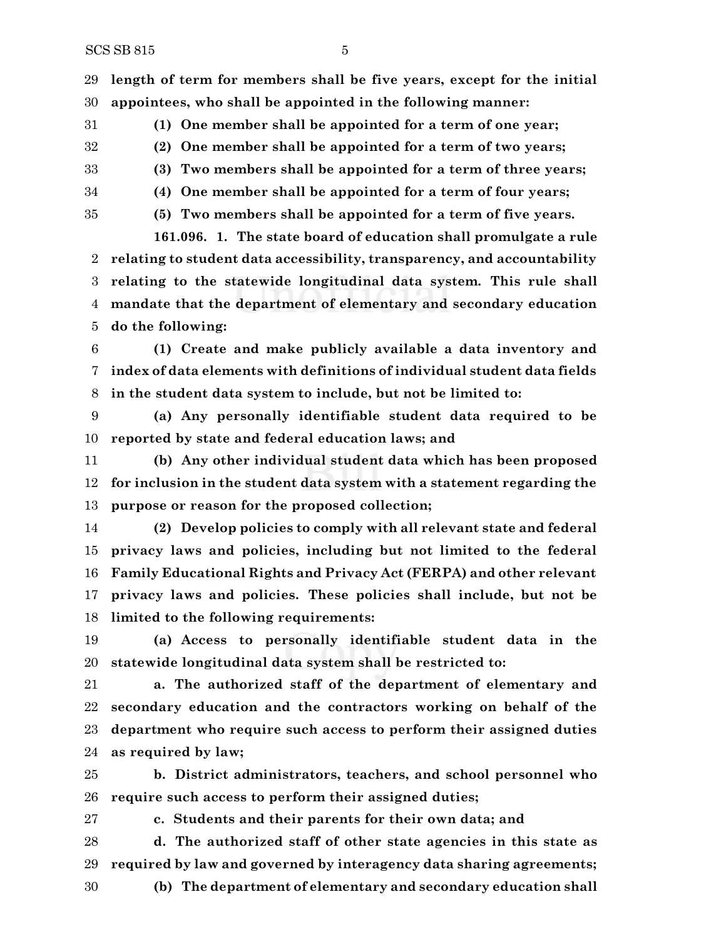**length of term for members shall be five years, except for the initial appointees, who shall be appointed in the following manner:**

**(1) One member shall be appointed for a term of one year;**

 **(2) One member shall be appointed for a term of two years; (3) Two members shall be appointed for a term of three years;**

**(4) One member shall be appointed for a term of four years;**

**(5) Two members shall be appointed for a term of five years.**

**161.096. 1. The state board of education shall promulgate a rule relating to student data accessibility, transparency, and accountability relating to the statewide longitudinal data system. This rule shall mandate that the department of elementary and secondary education do the following:**

 **(1) Create and make publicly available a data inventory and index of data elements with definitions of individual student data fields in the student data system to include, but not be limited to:**

 **(a) Any personally identifiable student data required to be reported by state and federal education laws; and**

 **(b) Any other individual student data which has been proposed for inclusion in the student data system with a statement regarding the purpose or reason for the proposed collection;**

 **(2) Develop policies to comply with all relevant state and federal privacy laws and policies, including but not limited to the federal Family Educational Rights and Privacy Act (FERPA) and other relevant privacy laws and policies. These policies shall include, but not be limited to the following requirements:**

 **(a) Access to personally identifiable student data in the statewide longitudinal data system shall be restricted to:**

 **a. The authorized staff of the department of elementary and secondary education and the contractors working on behalf of the department who require such access to perform their assigned duties as required by law;**

 **b. District administrators, teachers, and school personnel who require such access to perform their assigned duties;**

**c. Students and their parents for their own data; and**

 **d. The authorized staff of other state agencies in this state as required by law and governed by interagency data sharing agreements;**

**(b) The department of elementary and secondary education shall**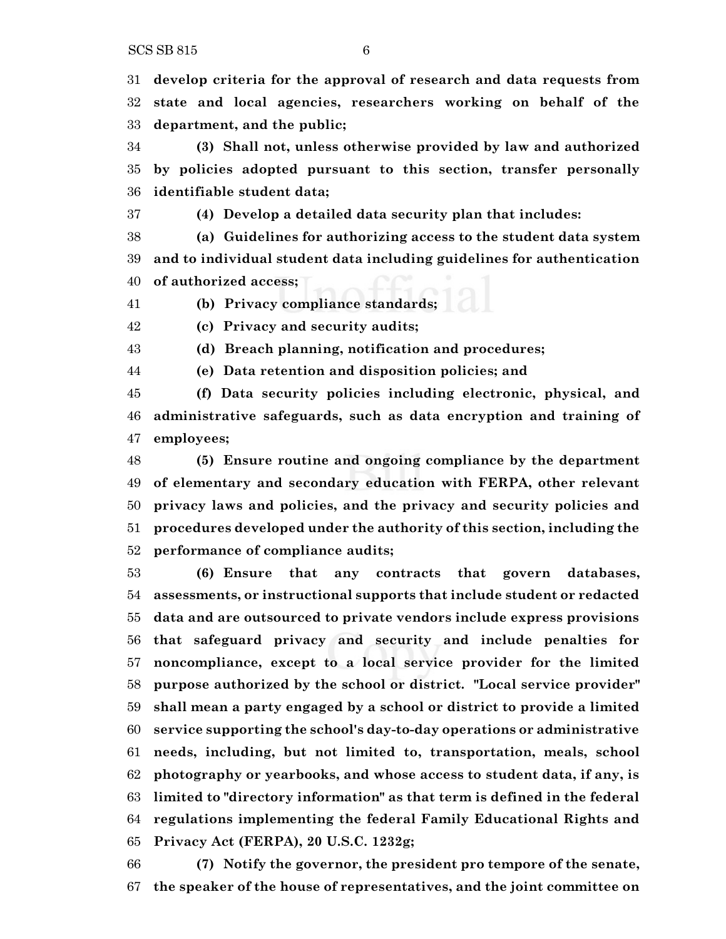$SCS SB 815$  6

 **develop criteria for the approval of research and data requests from state and local agencies, researchers working on behalf of the department, and the public;**

 **(3) Shall not, unless otherwise provided by law and authorized by policies adopted pursuant to this section, transfer personally identifiable student data;**

**(4) Develop a detailed data security plan that includes:**

 **(a) Guidelines for authorizing access to the student data system and to individual student data including guidelines for authentication of authorized access;**

**(b) Privacy compliance standards;**

**(c) Privacy and security audits;**

**(d) Breach planning, notification and procedures;**

**(e) Data retention and disposition policies; and**

 **(f) Data security policies including electronic, physical, and administrative safeguards, such as data encryption and training of employees;**

 **(5) Ensure routine and ongoing compliance by the department of elementary and secondary education with FERPA, other relevant privacy laws and policies, and the privacy and security policies and procedures developed under the authority of this section, including the performance of compliance audits;**

 **(6) Ensure that any contracts that govern databases, assessments, or instructional supports that include student or redacted data and are outsourced to private vendors include express provisions that safeguard privacy and security and include penalties for noncompliance, except to a local service provider for the limited purpose authorized by the school or district. "Local service provider" shall mean a party engaged by a school or district to provide a limited service supporting the school's day-to-day operations or administrative needs, including, but not limited to, transportation, meals, school photography or yearbooks, and whose access to student data, if any, is limited to "directory information" as that term is defined in the federal regulations implementing the federal Family Educational Rights and Privacy Act (FERPA), 20 U.S.C. 1232g;**

 **(7) Notify the governor, the president pro tempore of the senate, the speaker of the house of representatives, and the joint committee on**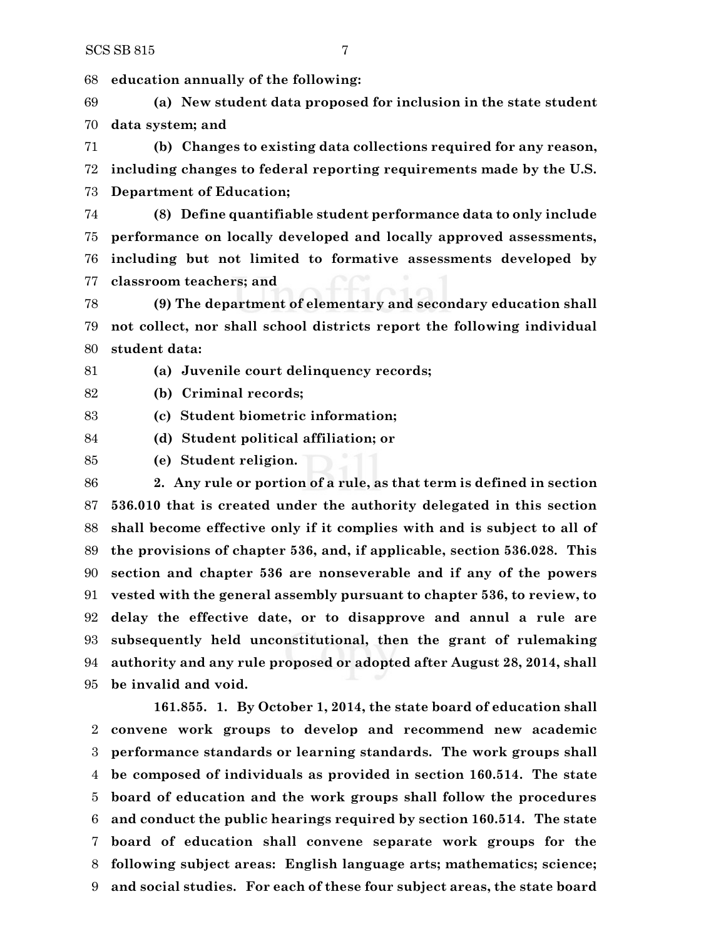**education annually of the following:**

 **(a) New student data proposed for inclusion in the state student data system; and**

 **(b) Changes to existing data collections required for any reason, including changes to federal reporting requirements made by the U.S. Department of Education;**

 **(8) Define quantifiable student performance data to only include performance on locally developed and locally approved assessments, including but not limited to formative assessments developed by classroom teachers; and**

 **(9) The department of elementary and secondary education shall not collect, nor shall school districts report the following individual student data:**

**(a) Juvenile court delinquency records;**

**(b) Criminal records;**

**(c) Student biometric information;**

**(d) Student political affiliation; or**

**(e) Student religion.**

 **2. Any rule or portion of a rule, as that term is defined in section 536.010 that is created under the authority delegated in this section shall become effective only if it complies with and is subject to all of the provisions of chapter 536, and, if applicable, section 536.028. This section and chapter 536 are nonseverable and if any of the powers vested with the general assembly pursuant to chapter 536, to review, to delay the effective date, or to disapprove and annul a rule are subsequently held unconstitutional, then the grant of rulemaking authority and any rule proposed or adopted after August 28, 2014, shall be invalid and void.**

**161.855. 1. By October 1, 2014, the state board of education shall convene work groups to develop and recommend new academic performance standards or learning standards. The work groups shall be composed of individuals as provided in section 160.514. The state board of education and the work groups shall follow the procedures and conduct the public hearings required by section 160.514. The state board of education shall convene separate work groups for the following subject areas: English language arts; mathematics; science; and social studies. For each of these four subject areas, the state board**